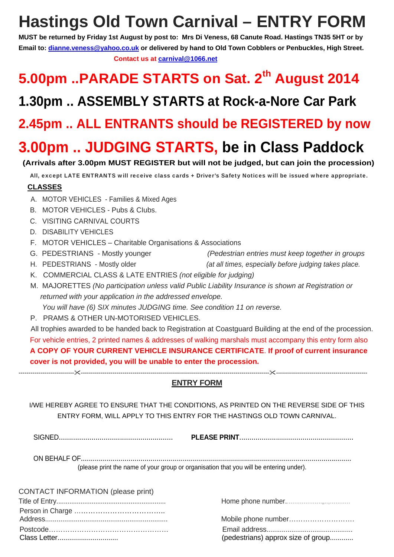# **Hastings Old Town Carnival – ENTRY FORM**

**MUST be returned by Friday 1st August by post to: Mrs Di Veness, 68 Canute Road. Hastings TN35 5HT or by Email to: dianne.veness@yahoo.co.uk or delivered by hand to Old Town Cobblers or Penbuckles, High Street. Contact us at carnival@1066.net**

## 5.00pm ..PARADE STARTS on Sat. 2<sup>th</sup> August 2014

### **1.30pm .. ASSEMBLY STARTS at Rock-a-Nore Car Park**

### **2.45pm .. ALL ENTRANTS should be REGISTERED by now**

## **3.00pm .. JUDGING STARTS, be in Class Paddock**

### **(Arrivals after 3.00pm MUST REGISTER but will not be judged, but can join the procession)**

All, except LATE ENTRANTS will receive class cards + Driver's Safety Notices will be issued where appropriate.

### **CLASSES**

- A. MOTOR VEHICLES Families & Mixed Ages
- B. MOTOR VEHICLES Pubs & Clubs.
- C. VISITING CARNIVAL COURTS
- D. DISABILITY VEHICLES
- F. MOTOR VEHICLES Charitable Organisations & Associations
- G. PEDESTRIANS Mostly younger *(Pedestrian entries must keep together in groups*
- H. PEDESTRIANS Mostly older *(at all times, especially before judging takes place.*
- K. COMMERCIAL CLASS & LATE ENTRIES *(not eligible for judging)*
- M. MAJORETTES *(No participation unless valid Public Liability Insurance is shown at Registration or returned with your application in the addressed envelope. You will have (6) SIX minutes JUDGING time. See condition 11 on reverse.*
- P. PRAMS & OTHER UN-MOTORISED VEHICLES.

 All trophies awarded to be handed back to Registration at Coastguard Building at the end of the procession. For vehicle entries, 2 printed names & addresses of walking marshals must accompany this entry form also **A COPY OF YOUR CURRENT VEHICLE INSURANCE CERTIFICATE**. **If proof of current insurance cover is not provided, you will be unable to enter the procession.**

**ENTRY FORM**

-------------------------------------------------------------------------------------------------------------------------------------------------------------------------

I/WE HEREBY AGREE TO ENSURE THAT THE CONDITIONS, AS PRINTED ON THE REVERSE SIDE OF THIS ENTRY FORM, WILL APPLY TO THIS ENTRY FOR THE HASTINGS OLD TOWN CARNIVAL.

SIGNED........................................................ **PLEASE PRINT**........................................................

ON BEHALF OF........................................................................................................................................ (please print the name of your group or organisation that you will be entering under).

| CONTACT INFORMATION (please print) |                                    |
|------------------------------------|------------------------------------|
|                                    |                                    |
|                                    |                                    |
|                                    |                                    |
|                                    |                                    |
| Class Letter                       | (pedestrians) approx size of group |

|  | $\sim$                                       |  |  |  |  |  |  |
|--|----------------------------------------------|--|--|--|--|--|--|
|  |                                              |  |  |  |  |  |  |
|  |                                              |  |  |  |  |  |  |
|  | $\lambda$ is the set of the set of $\lambda$ |  |  |  |  |  |  |